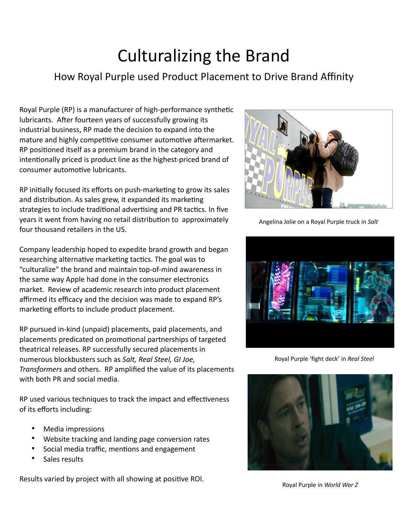## Culturalizing the Brand

## How Royal Purple used Product Placement to Drive Brand Affinity

Royal Purple (RP) is a manufacturer of high-performance synthetic lubricants. After fourteen years of successfully growing its industrial business, RP made the decision to expand into the mature and highly competitive consumer automotive aftermarket. RP positioned itself as a premium brand in the category and intentionally priced is product line as the highest-priced brand of consumer automotive lubricants.

RP initially focused its efforts on push-marketing to grow its sales and distribution. As sales grew, it expanded its marketing strategies to include traditional advertising and PR tactics. In five years it went from having no retail distribution to approximately four thousand retailers in the US.

Company leadership hoped to expedite brand growth and began researching alternative marketing tactics. The goal was to "culturalize" the brand and maintain top-of-mind awareness in the same way Apple had done in the consumer electronics market. Review of academic research into product placement affirmed its efficacy and the decision was made to expand RP's marketing efforts to include product placement.

RP pursued in-kind (unpaid) placements, paid placements, and placements predicated on promotional partnerships of targeted theatrical releases. RP successfully secured placements in numerous blockbusters such as *Salt, Real Steel, GI Joe, Transformers* and others. RP amplified the value of its placements with both PR and social media.

RP used various techniques to track the impact and effectiveness of its efforts including:

- Media impressions
- Website tracking and landing page conversion rates
- Social media traffic, mentions and engagement
- Sales results

Results varied by project with all showing at positive ROI.



Angelina Jolie on a Royal Purple truck in *Salt*



Royal Purple 'fight deck' in *Real Steel*



Royal Purple in *World War Z*